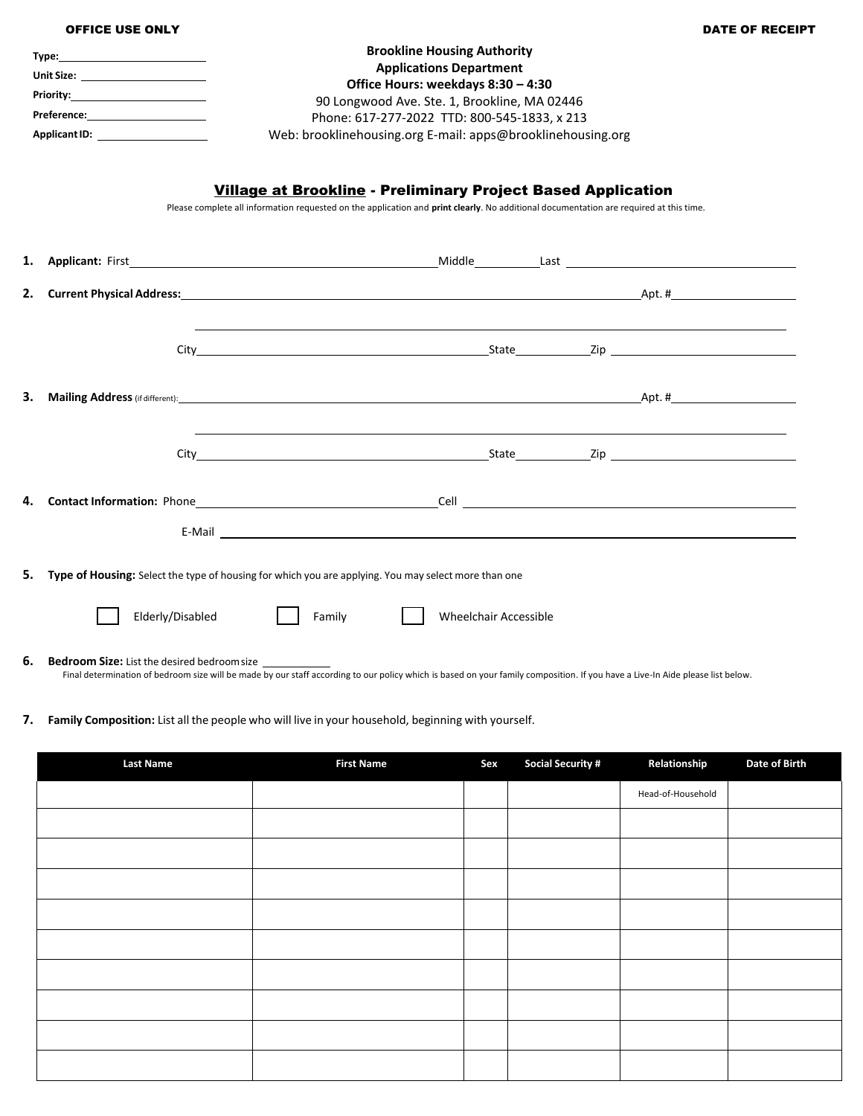|    | <b>OFFICE USE ONLY</b>                                                                                                                                                                                                               |                                                                                                                                                                                                               |                                                                                                                                                                                                            |  | DATE OF RECEIPT |
|----|--------------------------------------------------------------------------------------------------------------------------------------------------------------------------------------------------------------------------------------|---------------------------------------------------------------------------------------------------------------------------------------------------------------------------------------------------------------|------------------------------------------------------------------------------------------------------------------------------------------------------------------------------------------------------------|--|-----------------|
|    | Unit Size: the contract of the contract of the contract of the contract of the contract of the contract of the                                                                                                                       | Web: brooklinehousing.org E-mail: apps@brooklinehousing.org                                                                                                                                                   | <b>Brookline Housing Authority</b><br><b>Applications Department</b><br>Office Hours: weekdays 8:30 - 4:30<br>90 Longwood Ave. Ste. 1, Brookline, MA 02446<br>Phone: 617-277-2022 TTD: 800-545-1833, x 213 |  |                 |
|    |                                                                                                                                                                                                                                      | <b>Village at Brookline - Preliminary Project Based Application</b><br>Please complete all information requested on the application and print clearly. No additional documentation are required at this time. |                                                                                                                                                                                                            |  |                 |
| 1. |                                                                                                                                                                                                                                      |                                                                                                                                                                                                               |                                                                                                                                                                                                            |  |                 |
| 2. | <b>Current Physical Address:</b> Apt. # Apt. # Apt. # Apt. # Apt. # Apt. # Apt. # Apt. # Apt. # Apt. # Apt. # Apt. # Apt. # Apt. # Apt. # Apt. # Apt. # Apt. # Apt. # Apt. # Apt. # Apt. # Apt. # Apt. # Apt. # Apt. # Apt. # Apt.   |                                                                                                                                                                                                               |                                                                                                                                                                                                            |  |                 |
|    |                                                                                                                                                                                                                                      |                                                                                                                                                                                                               |                                                                                                                                                                                                            |  |                 |
| 3. | <b>Mailing Address</b> (if different): <b>ADDRES</b> (if different):                                                                                                                                                                 |                                                                                                                                                                                                               |                                                                                                                                                                                                            |  |                 |
|    |                                                                                                                                                                                                                                      |                                                                                                                                                                                                               |                                                                                                                                                                                                            |  |                 |
| 4. |                                                                                                                                                                                                                                      |                                                                                                                                                                                                               |                                                                                                                                                                                                            |  |                 |
| 5. | Type of Housing: Select the type of housing for which you are applying. You may select more than one                                                                                                                                 |                                                                                                                                                                                                               |                                                                                                                                                                                                            |  |                 |
|    | Elderly/Disabled                                                                                                                                                                                                                     | Family                                                                                                                                                                                                        | <b>Wheelchair Accessible</b>                                                                                                                                                                               |  |                 |
| 6. | <b>Bedroom Size:</b> List the desired bedroom size<br>Final determination of bedroom size will be made by our staff according to our policy which is based on your family composition. If you have a Live-In Aide please list below. |                                                                                                                                                                                                               |                                                                                                                                                                                                            |  |                 |

**7. Family Composition:** List all the people who will live in your household, beginning with yourself.

| <b>Last Name</b> | <b>First Name</b> | Sex | <b>Social Security #</b> | Relationship      | Date of Birth |
|------------------|-------------------|-----|--------------------------|-------------------|---------------|
|                  |                   |     |                          | Head-of-Household |               |
|                  |                   |     |                          |                   |               |
|                  |                   |     |                          |                   |               |
|                  |                   |     |                          |                   |               |
|                  |                   |     |                          |                   |               |
|                  |                   |     |                          |                   |               |
|                  |                   |     |                          |                   |               |
|                  |                   |     |                          |                   |               |
|                  |                   |     |                          |                   |               |
|                  |                   |     |                          |                   |               |